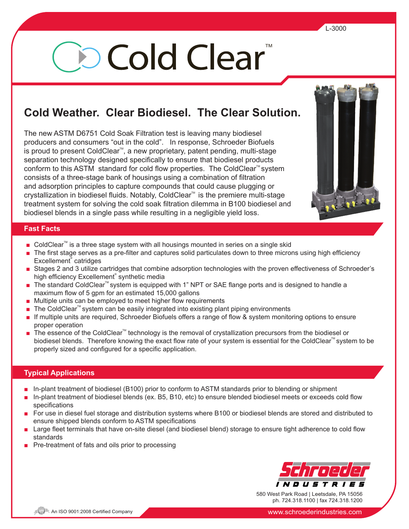# **Jo Cold Clear**

# **Cold Weather. Clear Biodiesel. The Clear Solution.**

The new ASTM D6751 Cold Soak Filtration test is leaving many biodiesel producers and consumers "out in the cold". In response, Schroeder Biofuels is proud to present ColdClear<sup>™</sup>, a new proprietary, patent pending, multi-stage separation technology designed specifically to ensure that biodiesel products conform to this ASTM standard for cold flow properties. The ColdClear<sup> $M$ </sup> system consists of a three-stage bank of housings using a combination of filtration and adsorption principles to capture compounds that could cause plugging or crystallization in biodiesel fluids. Notably, ColdClear<sup>™</sup> is the premiere multi-stage treatment system for solving the cold soak filtration dilemma in B100 biodiesel and biodiesel blends in a single pass while resulting in a negligible yield loss.



# **Fast Facts**

- ColdClear<sup>™</sup> is a three stage system with all housings mounted in series on a single skid
- The first stage serves as a pre-filter and captures solid particulates down to three microns using high efficiency Excellement® catridges
- Stages 2 and 3 utilize cartridges that combine adsorption technologies with the proven effectiveness of Schroeder's high efficiency Excellement® synthetic media
- The standard ColdClear<sup>™</sup> system is equipped with 1" NPT or SAE flange ports and is designed to handle a maximum flow of 5 gpm for an estimated 15,000 gallons
- Multiple units can be employed to meet higher flow requirements
- The ColdClear<sup>™</sup> system can be easily integrated into existing plant piping environments
- **■** If multiple units are required, Schroeder Biofuels offers a range of flow & system monitoring options to ensure proper operation
- The essence of the ColdClear<sup>™</sup> technology is the removal of crystallization precursors from the biodiesel or biodiesel blends. Therefore knowing the exact flow rate of your system is essential for the ColdClear<sup>M</sup> system to be properly sized and configured for a specific application.

# **Typical Applications**

- **■** In-plant treatment of biodiesel (B100) prior to conform to ASTM standards prior to blending or shipment
- **■** In-plant treatment of biodiesel blends (ex. B5, B10, etc) to ensure blended biodiesel meets or exceeds cold flow specifications
- For use in diesel fuel storage and distribution systems where B100 or biodiesel blends are stored and distributed to ensure shipped blends conform to ASTM specifications
- Large fleet terminals that have on-site diesel (and biodiesel blend) storage to ensure tight adherence to cold flow standards
- Pre-treatment of fats and oils prior to processing



580 West Park Road | Leetsdale, PA 15056 ph. 724.318.1100 | fax 724.318.1200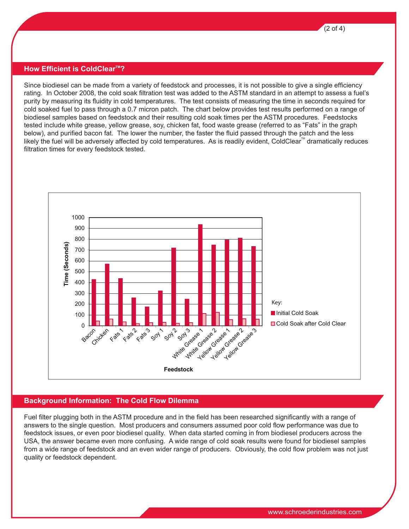

#### **How Efficient is ColdClearTM?**

Since biodiesel can be made from a variety of feedstock and processes, it is not possible to give a single efficiency rating. In October 2008, the cold soak filtration test was added to the ASTM standard in an attempt to assess a fuel's purity by measuring its fluidity in cold temperatures. The test consists of measuring the time in seconds required for cold soaked fuel to pass through a 0.7 micron patch. The chart below provides test results performed on a range of biodiesel samples based on feedstock and their resulting cold soak times per the ASTM procedures. Feedstocks tested include white grease, yellow grease, soy, chicken fat, food waste grease (referred to as "Fats" in the graph below), and purified bacon fat. The lower the number, the faster the fluid passed through the patch and the less likely the fuel will be adversely affected by cold temperatures. As is readily evident, ColdClear<sup>M</sup> dramatically reduces filtration times for every feedstock tested.



#### **Background Information: The Cold Flow Dilemma**

Fuel filter plugging both in the ASTM procedure and in the field has been researched significantly with a range of answers to the single question. Most producers and consumers assumed poor cold flow performance was due to feedstock issues, or even poor biodiesel quality. When data started coming in from biodiesel producers across the USA, the answer became even more confusing. A wide range of cold soak results were found for biodiesel samples from a wide range of feedstock and an even wider range of producers. Obviously, the cold flow problem was not just quality or feedstock dependent.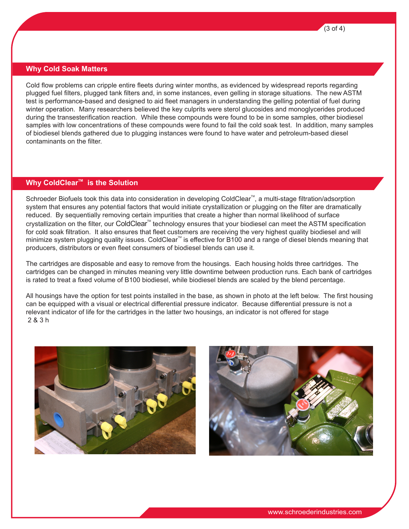

#### **Why Cold Soak Matters**

Cold flow problems can cripple entire fleets during winter months, as evidenced by widespread reports regarding plugged fuel filters, plugged tank filters and, in some instances, even gelling in storage situations. The new ASTM test is performance-based and designed to aid fleet managers in understanding the gelling potential of fuel during winter operation. Many researchers believed the key culprits were sterol glucosides and monoglycerides produced during the transesterification reaction. While these compounds were found to be in some samples, other biodiesel samples with low concentrations of these compounds were found to fail the cold soak test. In addition, many samples of biodiesel blends gathered due to plugging instances were found to have water and petroleum-based diesel contaminants on the filter.

### **Why ColdClear<sup>™</sup> is the Solution**

Schroeder Biofuels took this data into consideration in developing ColdClear<sup>™</sup>, a multi-stage filtration/adsorption system that ensures any potential factors that would initiate crystallization or plugging on the filter are dramatically reduced. By sequentially removing certain impurities that create a higher than normal likelihood of surface crystallization on the filter, our ColdClear™ technology ensures that your biodiesel can meet the ASTM specification for cold soak filtration. It also ensures that fleet customers are receiving the very highest quality biodiesel and will minimize system plugging quality issues. ColdClear<sup>™</sup> is effective for B100 and a range of diesel blends meaning that producers, distributors or even fleet consumers of biodiesel blends can use it.

The cartridges are disposable and easy to remove from the housings. Each housing holds three cartridges. The cartridges can be changed in minutes meaning very little downtime between production runs. Each bank of cartridges is rated to treat a fixed volume of B100 biodiesel, while biodiesel blends are scaled by the blend percentage.

All housings have the option for test points installed in the base, as shown in photo at the left below. The first housing can be equipped with a visual or electrical differential pressure indicator. Because differential pressure is not a relevant indicator of life for the cartridges in the latter two housings, an indicator is not offered for stage 2 & 3 h